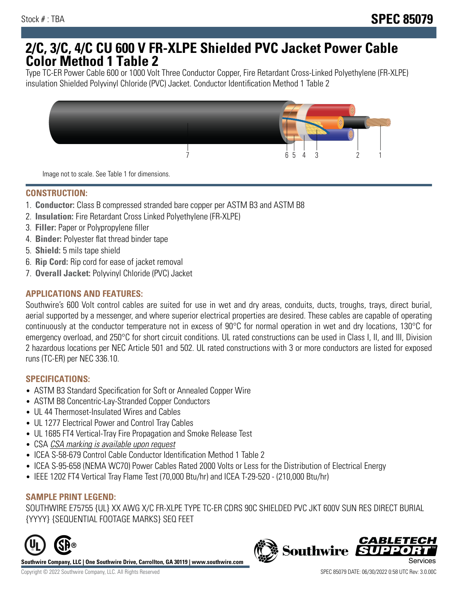## **2/C, 3/C, 4/C CU 600 V FR-XLPE Shielded PVC Jacket Power Cable Color Method 1 Table 2**

Type TC-ER Power Cable 600 or 1000 Volt Three Conductor Copper, Fire Retardant Cross-Linked Polyethylene (FR-XLPE) insulation Shielded Polyvinyl Chloride (PVC) Jacket. Conductor Identification Method 1 Table 2



Image not to scale. See Table 1 for dimensions.

## **CONSTRUCTION:**

- 1. **Conductor:** Class B compressed stranded bare copper per ASTM B3 and ASTM B8
- 2. **Insulation:** Fire Retardant Cross Linked Polyethylene (FR-XLPE)
- 3. **Filler:** Paper or Polypropylene filler
- 4. **Binder:** Polyester flat thread binder tape
- 5. **Shield:** 5 mils tape shield
- 6. **Rip Cord:** Rip cord for ease of jacket removal
- 7. **Overall Jacket:** Polyvinyl Chloride (PVC) Jacket

### **APPLICATIONS AND FEATURES:**

Southwire's 600 Volt control cables are suited for use in wet and dry areas, conduits, ducts, troughs, trays, direct burial, aerial supported by a messenger, and where superior electrical properties are desired. These cables are capable of operating continuously at the conductor temperature not in excess of 90°C for normal operation in wet and dry locations, 130°C for emergency overload, and 250°C for short circuit conditions. UL rated constructions can be used in Class I, II, and III, Division 2 hazardous locations per NEC Article 501 and 502. UL rated constructions with 3 or more conductors are listed for exposed runs (TC-ER) per NEC 336.10.

#### **SPECIFICATIONS:**

- ASTM B3 Standard Specification for Soft or Annealed Copper Wire
- ASTM B8 Concentric-Lay-Stranded Copper Conductors
- UL 44 Thermoset-Insulated Wires and Cables
- UL 1277 Electrical Power and Control Tray Cables
- UL 1685 FT4 Vertical-Tray Fire Propagation and Smoke Release Test
- CSA CSA marking is available upon request
- ICEA S-58-679 Control Cable Conductor Identification Method 1 Table 2
- ICEA S-95-658 (NEMA WC70) Power Cables Rated 2000 Volts or Less for the Distribution of Electrical Energy
- IEEE 1202 FT4 Vertical Tray Flame Test (70,000 Btu/hr) and ICEA T-29-520 (210,000 Btu/hr)

#### **SAMPLE PRINT LEGEND:**

SOUTHWIRE E75755 {UL} XX AWG X/C FR-XLPE TYPE TC-ER CDRS 90C SHIELDED PVC JKT 600V SUN RES DIRECT BURIAL {YYYY} {SEQUENTIAL FOOTAGE MARKS} SEQ FEET



**Southwire Company, LLC | One Southwire Drive, Carrollton, GA 30119 | www.southwire.com**